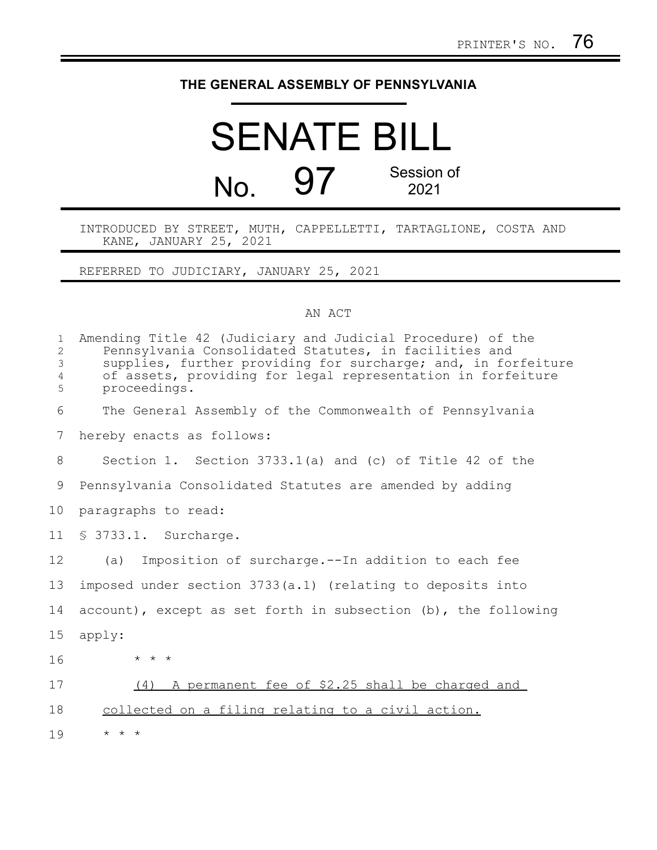## **THE GENERAL ASSEMBLY OF PENNSYLVANIA**

## SENATE BILL No. 97 Session of 2021

INTRODUCED BY STREET, MUTH, CAPPELLETTI, TARTAGLIONE, COSTA AND KANE, JANUARY 25, 2021

REFERRED TO JUDICIARY, JANUARY 25, 2021

## AN ACT

| $\mathbf{1}$<br>2<br>$\mathfrak{Z}$<br>$\overline{4}$<br>5 | Amending Title 42 (Judiciary and Judicial Procedure) of the<br>Pennsylvania Consolidated Statutes, in facilities and<br>supplies, further providing for surcharge; and, in forfeiture<br>of assets, providing for legal representation in forfeiture<br>proceedings. |
|------------------------------------------------------------|----------------------------------------------------------------------------------------------------------------------------------------------------------------------------------------------------------------------------------------------------------------------|
| 6                                                          | The General Assembly of the Commonwealth of Pennsylvania                                                                                                                                                                                                             |
| 7                                                          | hereby enacts as follows:                                                                                                                                                                                                                                            |
| 8                                                          | Section 1. Section $3733.1(a)$ and (c) of Title 42 of the                                                                                                                                                                                                            |
| 9                                                          | Pennsylvania Consolidated Statutes are amended by adding                                                                                                                                                                                                             |
| 10                                                         | paragraphs to read:                                                                                                                                                                                                                                                  |
| 11                                                         | § 3733.1. Surcharge.                                                                                                                                                                                                                                                 |
| 12                                                         | Imposition of surcharge.--In addition to each fee<br>(a)                                                                                                                                                                                                             |
| 13                                                         | imposed under section 3733(a.1) (relating to deposits into                                                                                                                                                                                                           |
| 14                                                         | account), except as set forth in subsection (b), the following                                                                                                                                                                                                       |
| 15                                                         | apply:                                                                                                                                                                                                                                                               |
| 16                                                         | $\star$ $\star$ $\star$                                                                                                                                                                                                                                              |
| 17                                                         | A permanent fee of \$2.25 shall be charged and<br>(4)                                                                                                                                                                                                                |
| 18                                                         | collected on a filing relating to a civil action.                                                                                                                                                                                                                    |
| 19                                                         | $\star$ $\star$ $\star$                                                                                                                                                                                                                                              |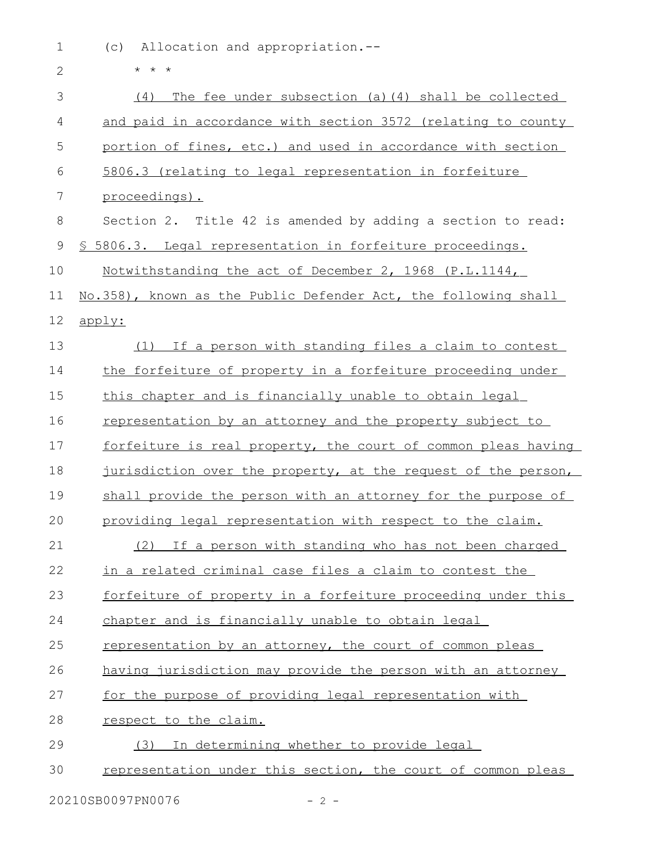(c) Allocation and appropriation.-- 1

| $\mathbf{2}$ | $* * *$                                                        |
|--------------|----------------------------------------------------------------|
| 3            | The fee under subsection (a) (4) shall be collected<br>(4)     |
| 4            | and paid in accordance with section 3572 (relating to county   |
| 5            | portion of fines, etc.) and used in accordance with section    |
| 6            | 5806.3 (relating to legal representation in forfeiture         |
| 7            | proceedings).                                                  |
| 8            | Section 2. Title 42 is amended by adding a section to read:    |
| $\mathsf 9$  | \$ 5806.3. Legal representation in forfeiture proceedings.     |
| 10           | Notwithstanding the act of December 2, 1968 (P.L.1144,         |
| 11           | No.358), known as the Public Defender Act, the following shall |
| 12           | apply:                                                         |
| 13           | (1) If a person with standing files a claim to contest         |
| 14           | the forfeiture of property in a forfeiture proceeding under    |
| 15           | this chapter and is financially unable to obtain legal         |
| 16           | representation by an attorney and the property subject to      |
| 17           | forfeiture is real property, the court of common pleas having  |
| 18           | jurisdiction over the property, at the request of the person,  |
| 19           | shall provide the person with an attorney for the purpose of   |
| 20           | providing legal representation with respect to the claim.      |
| 21           | (2) If a person with standing who has not been charged         |
| 22           | in a related criminal case files a claim to contest the        |
| 23           | forfeiture of property in a forfeiture proceeding under this   |
| 24           | chapter and is financially unable to obtain legal              |
| 25           | representation by an attorney, the court of common pleas       |
| 26           | having jurisdiction may provide the person with an attorney    |
| 27           | for the purpose of providing legal representation with         |
| 28           | respect to the claim.                                          |
| 29           | (3) In determining whether to provide legal                    |
| 30           | representation under this section, the court of common pleas   |